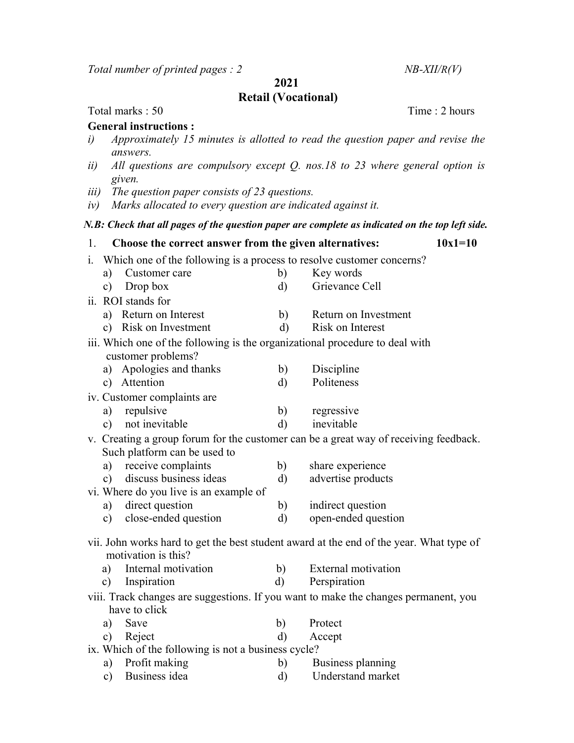Total number of printed pages :  $2$  NB-XII/R(V)

2021

## Retail (Vocational)

Total marks : 50 Time : 2 hours

## General instructions :

- i) Approximately 15 minutes is allotted to read the question paper and revise the answers.
- ii) All questions are compulsory except Q. nos.18 to 23 where general option is given.
- iii) The question paper consists of 23 questions.
- iv) Marks allocated to every question are indicated against it.

## N.B: Check that all pages of the question paper are complete as indicated on the top left side.

| 1.                                                                                      | Choose the correct answer from the given alternatives:                       |              | $10x1=10$                  |  |  |
|-----------------------------------------------------------------------------------------|------------------------------------------------------------------------------|--------------|----------------------------|--|--|
| i.                                                                                      | Which one of the following is a process to resolve customer concerns?        |              |                            |  |  |
|                                                                                         | a) Customer care                                                             | b)           | Key words                  |  |  |
| c)                                                                                      | Drop box                                                                     | $\rm d$      | Grievance Cell             |  |  |
| ii. ROI stands for                                                                      |                                                                              |              |                            |  |  |
|                                                                                         | a) Return on Interest                                                        | b)           | Return on Investment       |  |  |
|                                                                                         | c) Risk on Investment                                                        | $\rm d)$     | Risk on Interest           |  |  |
|                                                                                         | iii. Which one of the following is the organizational procedure to deal with |              |                            |  |  |
|                                                                                         | customer problems?                                                           |              |                            |  |  |
|                                                                                         | a) Apologies and thanks                                                      | b)           | Discipline                 |  |  |
|                                                                                         | c) Attention                                                                 | $\rm d$      | Politeness                 |  |  |
| iv. Customer complaints are                                                             |                                                                              |              |                            |  |  |
| a)                                                                                      | repulsive                                                                    | b)           | regressive                 |  |  |
| $\mathbf{c})$                                                                           | not inevitable                                                               | $\rm d$      | inevitable                 |  |  |
| v. Creating a group forum for the customer can be a great way of receiving feedback.    |                                                                              |              |                            |  |  |
|                                                                                         | Such platform can be used to                                                 |              |                            |  |  |
| a)                                                                                      | receive complaints                                                           | b)           | share experience           |  |  |
| c)                                                                                      | discuss business ideas                                                       | d)           | advertise products         |  |  |
| vi. Where do you live is an example of                                                  |                                                                              |              |                            |  |  |
|                                                                                         | a) direct question                                                           | b)           | indirect question          |  |  |
|                                                                                         | c) close-ended question                                                      | d)           | open-ended question        |  |  |
| vii. John works hard to get the best student award at the end of the year. What type of |                                                                              |              |                            |  |  |
| motivation is this?                                                                     |                                                                              |              |                            |  |  |
| a)                                                                                      | Internal motivation                                                          | b)           | <b>External motivation</b> |  |  |
| c)                                                                                      | Inspiration                                                                  | $\mathbf{d}$ | Perspiration               |  |  |
| viii. Track changes are suggestions. If you want to make the changes permanent, you     |                                                                              |              |                            |  |  |
|                                                                                         | have to click                                                                |              |                            |  |  |
| a)                                                                                      | Save                                                                         | b)           | Protect                    |  |  |
| c)                                                                                      | Reject                                                                       | $\rm d$      | Accept                     |  |  |
| ix. Which of the following is not a business cycle?                                     |                                                                              |              |                            |  |  |
| a)                                                                                      | Profit making                                                                | b)           | Business planning          |  |  |
| $\mathbf{c})$                                                                           | Business idea                                                                | d)           | Understand market          |  |  |